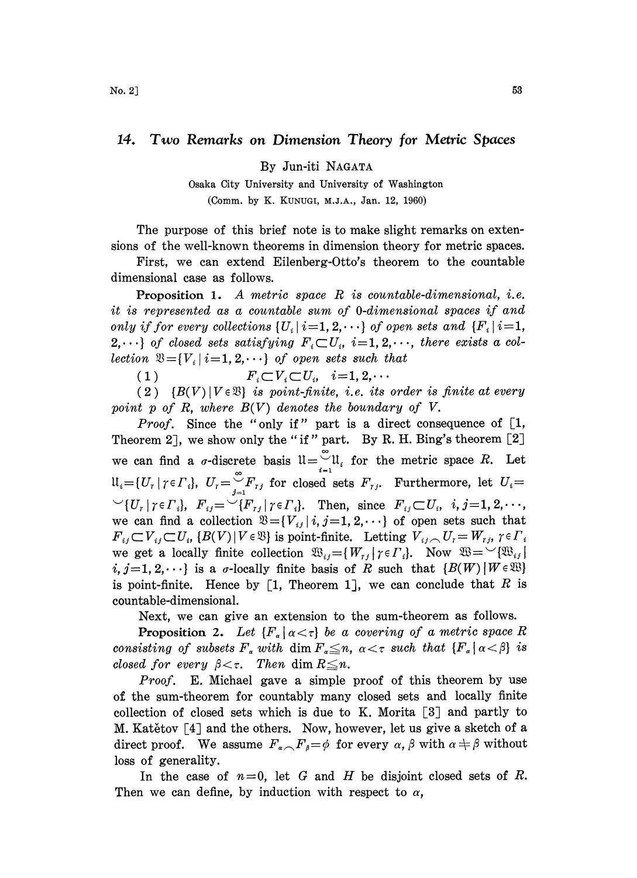## 14. Two Remarks on Dimension Theory for Metric Spaces

By Jun-iti NAGATA

Osaka City University and University of Washington (Comm. by K. KUNUGI, M.J.A., Jan. 12, 1960)

The purpose of this brief note is to make slight remarks on extensions of the well-known theorems in dimension theory for metric spaces.

First, we can extend Eilenberg-0tto's theorem to the countable dimensional case as follows.

**Proposition 1.** A metric space  $R$  is countable-dimensional, i.e. it is represented as a countable sum of O-dimensional spaces if and only if for every collections  $\{U_i | i=1, 2, \cdots\}$  of open sets and  $\{F_i | i=1, \cdots\}$  $2,\cdots$  of closed sets satisfying  $F_i\subset U_i$ ,  $i=1, 2,\cdots$ , there exists a collection  $\mathfrak{B} = \{V_i \mid i = 1, 2, \cdots\}$  of open sets such that

(1)  $F_i \subset V_i \subset U_i, \quad i=1, 2, \cdots$ 

(2)  ${B(V) | V \in \mathfrak{B}}$  is point-finite, i.e. its order is finite at every point p of R, where  $B(V)$  denotes the boundary of V.

*Proof.* Since the "only if" part is a direct consequence of  $\lceil 1, \rceil$ Theorem 2], we show only the "if" part. By R. H. Bing's theorem  $[2]$ we can find a  $\sigma$ -discrete basis  $\mathfrak{U}=\bigcup_{i=1}^{\infty}\mathfrak{U}_i$  for the metric space R. Let  $\mathfrak{U}_i = \{U_r | r \in \Gamma_i\}, U_r = \int_{i=1}^{\infty} F_{r,i}$  for closed sets  $F_{r,i}$ . Furthermore, let  $U_i =$  ${\triangleright} (U_r | \gamma \in \Gamma_i), F_{ij} = {\triangleright} (F_{rj} | \gamma \in \Gamma_i).$  Then, since  $F_{ij} {\subset} U_i$ ,  $i, j = 1, 2, \dots$ , we can find a collection  $\mathfrak{B} = \{V_{ij} | i, j = 1, 2, \cdots\}$  of open sets such that  $F_{ij} \subset V_{ij} \subset U_i$ ,  $\{B(V) | V \in \mathfrak{B} \}$  is point-finite. Letting  $V_{ij} \cap U_i = W_{ij}$ ,  $\gamma \in \Gamma_i$ we get a locally finite collection  $\mathfrak{B}_{ij} = \{W_{rj} | \gamma \in \Gamma_i\}$ . Now<br>  $i, j = 1, 2, \dots$  is a  $\sigma$ -locally finite basis of R such that {*i*<br>
is point-finite. Hence by [1, Theorem 1], we can conclu<br>
countable-dimensional.<br>
Ne  $i, j=1,2,\dots$  is a *σ*-locally finite basis of R such that  $\{B(W) | W \in \mathfrak{B}\}$ s such that<br>=  $W_{rj}$ ,  $\gamma \in I$ <br> $\mathfrak{W} = \bigvee \{ \mathfrak{W}_{ij} \}$ <br> $(W) | W \in \mathfrak{W}$ <br>e that R i is point-finite. Hence by [1, Theorem 1], we can conclude that  $R$  is countable-dimensional.

Next, we can give an extension to the sum-theorem as follows.

**Proposition 2.** Let  ${F_{\alpha} | \alpha < \tau}$  be a covering of a metric space R consisting of subsets  $F_a$  with dim  $F_a \leq n$ ,  $\alpha < \tau$  such that  ${F_a \mid \alpha < \beta}$  is closed for every  $\beta < \tau$ . Then dim  $R \leq n$ .

Proof. E. Michael gave a simple proof of this theorem by use of the sum-theorem for countably many closed sets and locally finite collection of closed sets which is due to K. Morita  $\lbrack 3 \rbrack$  and partly to M. Katětov  $\lceil 4 \rceil$  and the others. Now, however, let us give a sketch of a direct proof. We assume  $F_{\alpha}F_{\beta}=\phi$  for every  $\alpha$ ,  $\beta$  with  $\alpha \neq \beta$  without loss of generality.

In the case of  $n=0$ , let G and H be disjoint closed sets of R. Then we can define, by induction with respect to  $\alpha$ ,